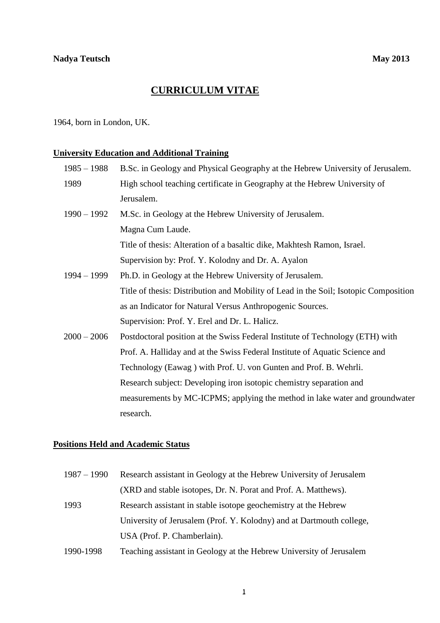# **CURRICULUM VITAE**

1964, born in London, UK.

# **University Education and Additional Training**

| $1985 - 1988$ | B.Sc. in Geology and Physical Geography at the Hebrew University of Jerusalem.       |
|---------------|--------------------------------------------------------------------------------------|
| 1989          | High school teaching certificate in Geography at the Hebrew University of            |
|               | Jerusalem.                                                                           |
| $1990 - 1992$ | M.Sc. in Geology at the Hebrew University of Jerusalem.                              |
|               | Magna Cum Laude.                                                                     |
|               | Title of thesis: Alteration of a basaltic dike, Makhtesh Ramon, Israel.              |
|               | Supervision by: Prof. Y. Kolodny and Dr. A. Ayalon                                   |
| $1994 - 1999$ | Ph.D. in Geology at the Hebrew University of Jerusalem.                              |
|               | Title of thesis: Distribution and Mobility of Lead in the Soil; Isotopic Composition |
|               | as an Indicator for Natural Versus Anthropogenic Sources.                            |
|               | Supervision: Prof. Y. Erel and Dr. L. Halicz.                                        |
| $2000 - 2006$ | Postdoctoral position at the Swiss Federal Institute of Technology (ETH) with        |
|               | Prof. A. Halliday and at the Swiss Federal Institute of Aquatic Science and          |
|               | Technology (Eawag) with Prof. U. von Gunten and Prof. B. Wehrli.                     |
|               | Research subject: Developing iron isotopic chemistry separation and                  |
|               | measurements by MC-ICPMS; applying the method in lake water and groundwater          |
|               | research.                                                                            |
|               |                                                                                      |

## **Positions Held and Academic Status**

| $1987 - 1990$ | Research assistant in Geology at the Hebrew University of Jerusalem  |
|---------------|----------------------------------------------------------------------|
|               | (XRD and stable isotopes, Dr. N. Porat and Prof. A. Matthews).       |
| 1993          | Research assistant in stable isotope geochemistry at the Hebrew      |
|               | University of Jerusalem (Prof. Y. Kolodny) and at Dartmouth college, |
|               | USA (Prof. P. Chamberlain).                                          |
|               |                                                                      |

1990-1998 Teaching assistant in Geology at the Hebrew University of Jerusalem